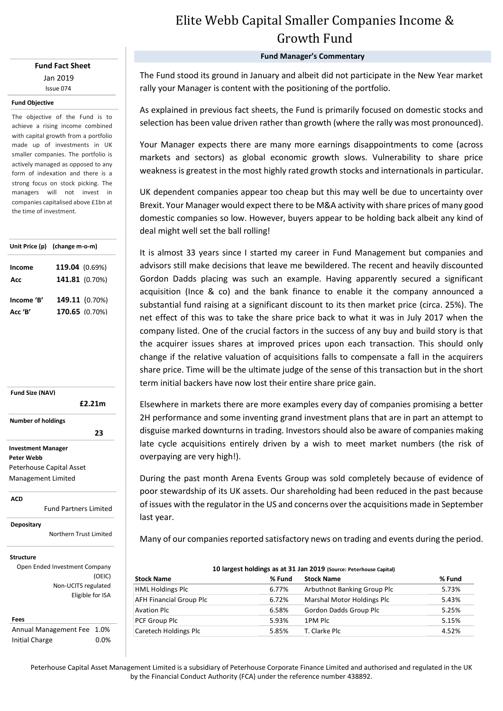**Fund Fact Sheet** Jan 2019 Issue 074

### **Fund Objective**

The objective of the Fund is to achieve a rising income combined with capital growth from a portfolio made up of investments in UK smaller companies. The portfolio is actively managed as opposed to any form of indexation and there is a strong focus on stock picking. The managers will not invest in companies capitalised above £1bn at the time of investment.

|            | Unit Price (p) (change m-o-m) |  |  |  |
|------------|-------------------------------|--|--|--|
| Income     | 119.04 (0.69%)                |  |  |  |
| Acc        | 141.81 (0.70%)                |  |  |  |
|            |                               |  |  |  |
| Income 'B' | 149.11 (0.70%)                |  |  |  |
| Acc 'B'    | 170.65 (0.70%)                |  |  |  |

**Fund Size (NAV) Investment Manager Peter Webb** Peterhouse Capital Asset Management Limited  **£2.21m Number of holdings 23** 

**ACD**

Fund Partners Limited

Peter Webb

**Depositary**

Northern Trust Limited

#### **Structure**

Open Ended Investment Company (OEIC) Non-UCITS regulated Eligible for ISA

### **Fees**

Annual Management Fee 1.0% Initial Charge 0.0%

# Elite Webb Capital Smaller Companies Income & Growth Fund

### **Fund Manager's Commentary**

The Fund stood its ground in January and albeit did not participate in the New Year market rally your Manager is content with the positioning of the portfolio.

As explained in previous fact sheets, the Fund is primarily focused on domestic stocks and selection has been value driven rather than growth (where the rally was most pronounced).

Your Manager expects there are many more earnings disappointments to come (across markets and sectors) as global economic growth slows. Vulnerability to share price weakness is greatest in the most highly rated growth stocks and internationals in particular.

UK dependent companies appear too cheap but this may well be due to uncertainty over Brexit. Your Manager would expect there to be M&A activity with share prices of many good domestic companies so low. However, buyers appear to be holding back albeit any kind of deal might well set the ball rolling!

It is almost 33 years since I started my career in Fund Management but companies and advisors still make decisions that leave me bewildered. The recent and heavily discounted Gordon Dadds placing was such an example. Having apparently secured a significant acquisition (Ince & co) and the bank finance to enable it the company announced a substantial fund raising at a significant discount to its then market price (circa. 25%). The net effect of this was to take the share price back to what it was in July 2017 when the company listed. One of the crucial factors in the success of any buy and build story is that the acquirer issues shares at improved prices upon each transaction. This should only change if the relative valuation of acquisitions falls to compensate a fall in the acquirers share price. Time will be the ultimate judge of the sense of this transaction but in the short term initial backers have now lost their entire share price gain.

Elsewhere in markets there are more examples every day of companies promising a better 2H performance and some inventing grand investment plans that are in part an attempt to disguise marked downturns in trading. Investors should also be aware of companies making late cycle acquisitions entirely driven by a wish to meet market numbers (the risk of overpaying are very high!).

During the past month Arena Events Group was sold completely because of evidence of poor stewardship of its UK assets. Our shareholding had been reduced in the past because of issues with the regulator in the US and concerns over the acquisitions made in September last year.

Many of our companies reported satisfactory news on trading and events during the period.

| 10 largest holdings as at 31 Jan 2019 (Source: Peterhouse Capital) |        |                             |        |  |  |  |  |
|--------------------------------------------------------------------|--------|-----------------------------|--------|--|--|--|--|
| <b>Stock Name</b>                                                  | % Fund | <b>Stock Name</b>           | % Fund |  |  |  |  |
| <b>HML Holdings Plc</b>                                            | 6.77%  | Arbuthnot Banking Group Plc | 5.73%  |  |  |  |  |
| <b>AFH Financial Group Plc</b>                                     | 6.72%  | Marshal Motor Holdings Plc  | 5.43%  |  |  |  |  |
| <b>Avation Plc</b>                                                 | 6.58%  | Gordon Dadds Group Plc      | 5.25%  |  |  |  |  |
| PCF Group Plc                                                      | 5.93%  | 1PM Plc                     | 5.15%  |  |  |  |  |
| Caretech Holdings Plc                                              | 5.85%  | T. Clarke Plc               | 4.52%  |  |  |  |  |

Peterhouse Capital Asset Management Limited is a subsidiary of Peterhouse Corporate Finance Limited and authorised and regulated in the UK by the Financial Conduct Authority (FCA) under the reference number 438892.